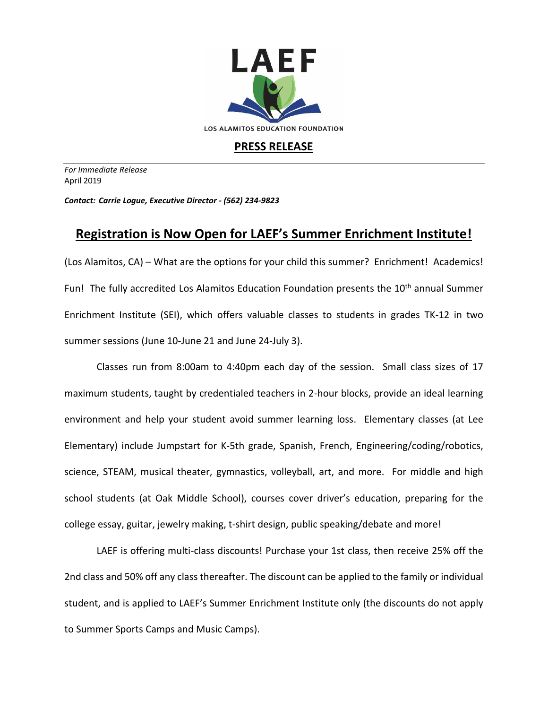

## **PRESS RELEASE**

*For Immediate Release*  April 2019

*Contact: Carrie Logue, Executive Director - (562) 234-9823*

## **Registration is Now Open for LAEF's Summer Enrichment Institute!**

(Los Alamitos, CA) – What are the options for your child this summer? Enrichment! Academics! Fun! The fully accredited Los Alamitos Education Foundation presents the 10<sup>th</sup> annual Summer Enrichment Institute (SEI), which offers valuable classes to students in grades TK-12 in two summer sessions (June 10-June 21 and June 24-July 3).

Classes run from 8:00am to 4:40pm each day of the session. Small class sizes of 17 maximum students, taught by credentialed teachers in 2-hour blocks, provide an ideal learning environment and help your student avoid summer learning loss. Elementary classes (at Lee Elementary) include Jumpstart for K-5th grade, Spanish, French, Engineering/coding/robotics, science, STEAM, musical theater, gymnastics, volleyball, art, and more. For middle and high school students (at Oak Middle School), courses cover driver's education, preparing for the college essay, guitar, jewelry making, t-shirt design, public speaking/debate and more!

LAEF is offering multi-class discounts! Purchase your 1st class, then receive 25% off the 2nd class and 50% off any class thereafter. The discount can be applied to the family or individual student, and is applied to LAEF's Summer Enrichment Institute only (the discounts do not apply to Summer Sports Camps and Music Camps).